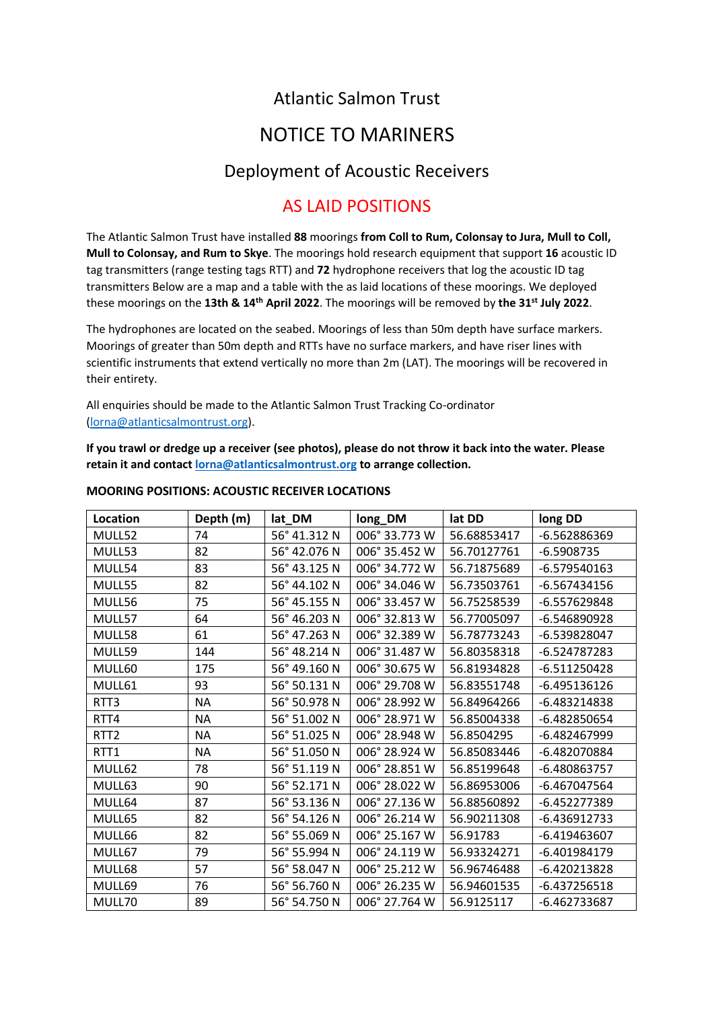## Atlantic Salmon Trust

# NOTICE TO MARINERS

### Deployment of Acoustic Receivers

### AS LAID POSITIONS

The Atlantic Salmon Trust have installed **88** moorings **from Coll to Rum, Colonsay to Jura, Mull to Coll, Mull to Colonsay, and Rum to Skye**. The moorings hold research equipment that support **16** acoustic ID tag transmitters (range testing tags RTT) and **72** hydrophone receivers that log the acoustic ID tag transmitters Below are a map and a table with the as laid locations of these moorings. We deployed these moorings on the **13th & 14th April 2022**. The moorings will be removed by **the 31st July 2022**.

The hydrophones are located on the seabed. Moorings of less than 50m depth have surface markers. Moorings of greater than 50m depth and RTTs have no surface markers, and have riser lines with scientific instruments that extend vertically no more than 2m (LAT). The moorings will be recovered in their entirety.

All enquiries should be made to the Atlantic Salmon Trust Tracking Co-ordinator [\(lorna@atlanticsalmontrust.org\)](mailto:lorna@atlanticsalmontrust.org).

**If you trawl or dredge up a receiver (see photos), please do not throw it back into the water. Please retain it and contac[t lorna@atlanticsalmontrust.org](mailto:lorna@atlanticsalmontrust.org) to arrange collection.**

| Location         | Depth (m) | lat_DM       | long_DM       | lat DD      | long DD        |
|------------------|-----------|--------------|---------------|-------------|----------------|
| MULL52           | 74        | 56° 41.312 N | 006° 33.773 W | 56.68853417 | -6.562886369   |
| MULL53           | 82        | 56° 42.076 N | 006° 35.452 W | 56.70127761 | $-6.5908735$   |
| MULL54           | 83        | 56° 43.125 N | 006° 34.772 W | 56.71875689 | $-6.579540163$ |
| MULL55           | 82        | 56° 44.102 N | 006° 34.046 W | 56.73503761 | $-6.567434156$ |
| MULL56           | 75        | 56° 45.155 N | 006° 33.457 W | 56.75258539 | -6.557629848   |
| MULL57           | 64        | 56° 46.203 N | 006° 32.813 W | 56.77005097 | $-6.546890928$ |
| MULL58           | 61        | 56° 47.263 N | 006° 32.389 W | 56.78773243 | -6.539828047   |
| MULL59           | 144       | 56° 48.214 N | 006° 31.487 W | 56.80358318 | $-6.524787283$ |
| MULL60           | 175       | 56° 49.160 N | 006° 30.675 W | 56.81934828 | $-6.511250428$ |
| MULL61           | 93        | 56° 50.131 N | 006° 29.708 W | 56.83551748 | -6.495136126   |
| RTT3             | <b>NA</b> | 56° 50.978 N | 006° 28.992 W | 56.84964266 | -6.483214838   |
| RTT4             | <b>NA</b> | 56° 51.002 N | 006° 28.971 W | 56.85004338 | -6.482850654   |
| RTT <sub>2</sub> | <b>NA</b> | 56° 51.025 N | 006° 28.948 W | 56.8504295  | -6.482467999   |
| RTT1             | <b>NA</b> | 56° 51.050 N | 006° 28.924 W | 56.85083446 | -6.482070884   |
| MULL62           | 78        | 56° 51.119 N | 006° 28.851 W | 56.85199648 | -6.480863757   |
| MULL63           | 90        | 56° 52.171 N | 006° 28.022 W | 56.86953006 | -6.467047564   |
| MULL64           | 87        | 56° 53.136 N | 006° 27.136 W | 56.88560892 | -6.452277389   |
| MULL65           | 82        | 56° 54.126 N | 006° 26.214 W | 56.90211308 | $-6.436912733$ |
| MULL66           | 82        | 56° 55.069 N | 006° 25.167 W | 56.91783    | $-6.419463607$ |
| MULL67           | 79        | 56° 55.994 N | 006° 24.119 W | 56.93324271 | -6.401984179   |
| MULL68           | 57        | 56° 58.047 N | 006° 25.212 W | 56.96746488 | $-6.420213828$ |
| MULL69           | 76        | 56° 56.760 N | 006° 26.235 W | 56.94601535 | $-6.437256518$ |
| MULL70           | 89        | 56° 54.750 N | 006° 27.764 W | 56.9125117  | -6.462733687   |

#### **MOORING POSITIONS: ACOUSTIC RECEIVER LOCATIONS**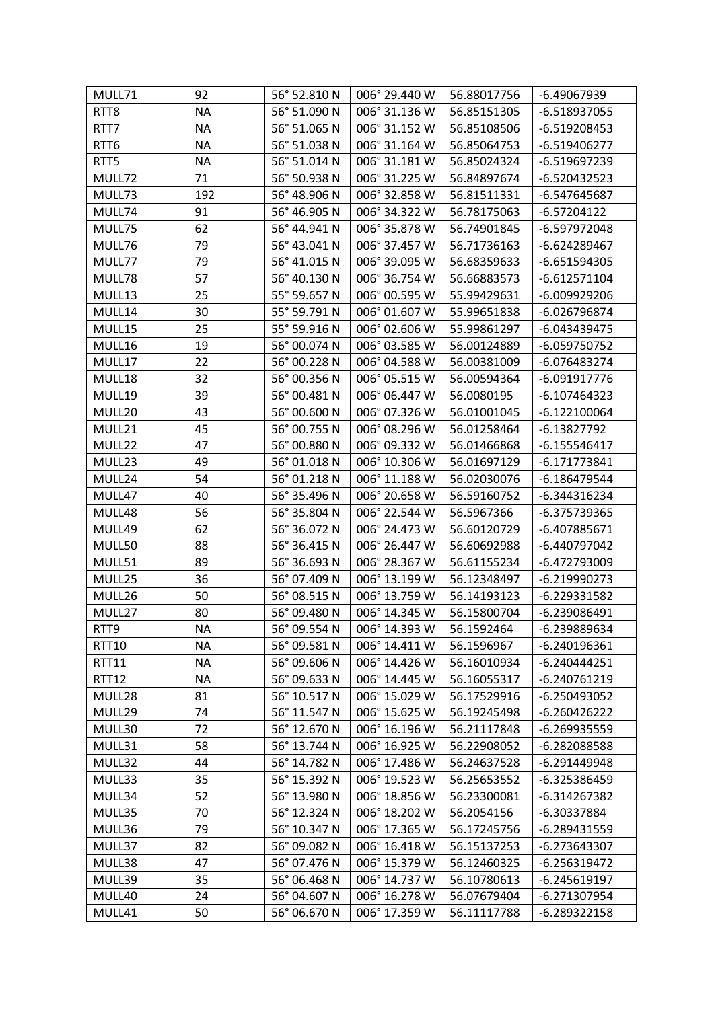| MULL71       | 92        | 56° 52.810 N | 006° 29.440 W | 56.88017756 | -6.49067939    |
|--------------|-----------|--------------|---------------|-------------|----------------|
| RTT8         | <b>NA</b> | 56° 51.090 N | 006° 31.136 W | 56.85151305 | $-6.518937055$ |
| RTT7         | <b>NA</b> | 56° 51.065 N | 006° 31.152 W | 56.85108506 | $-6.519208453$ |
| RTT6         | <b>NA</b> | 56° 51.038 N | 006° 31.164 W | 56.85064753 | $-6.519406277$ |
| RTT5         | <b>NA</b> | 56° 51.014 N | 006° 31.181 W | 56.85024324 | -6.519697239   |
| MULL72       | 71        | 56° 50.938 N | 006° 31.225 W | 56.84897674 | -6.520432523   |
| MULL73       | 192       | 56° 48.906 N | 006° 32.858 W | 56.81511331 | -6.547645687   |
| MULL74       | 91        | 56° 46.905 N | 006° 34.322 W | 56.78175063 | $-6.57204122$  |
| MULL75       | 62        | 56° 44.941 N | 006° 35.878 W | 56.74901845 | -6.597972048   |
| MULL76       | 79        | 56° 43.041 N | 006° 37.457 W | 56.71736163 | -6.624289467   |
| MULL77       | 79        | 56° 41.015 N | 006° 39.095 W | 56.68359633 | $-6.651594305$ |
| MULL78       | 57        | 56° 40.130 N | 006° 36.754 W | 56.66883573 | $-6.612571104$ |
| MULL13       | 25        | 55° 59.657 N | 006° 00.595 W | 55.99429631 | -6.009929206   |
| MULL14       | 30        | 55° 59.791 N | 006° 01.607 W | 55.99651838 | -6.026796874   |
| MULL15       | 25        | 55° 59.916 N | 006° 02.606 W | 55.99861297 | $-6.043439475$ |
| MULL16       | 19        | 56° 00.074 N | 006° 03.585 W | 56.00124889 | -6.059750752   |
| MULL17       | 22        | 56° 00.228 N | 006° 04.588 W | 56.00381009 | -6.076483274   |
| MULL18       | 32        | 56° 00.356 N | 006° 05.515 W | 56.00594364 | $-6.091917776$ |
| MULL19       | 39        | 56° 00.481 N | 006° 06.447 W | 56.0080195  | $-6.107464323$ |
| MULL20       | 43        | 56° 00.600 N | 006° 07.326 W | 56.01001045 | $-6.122100064$ |
| MULL21       | 45        | 56° 00.755 N | 006° 08.296 W | 56.01258464 | $-6.13827792$  |
| MULL22       | 47        | 56° 00.880 N | 006° 09.332 W | 56.01466868 | $-6.155546417$ |
| MULL23       | 49        | 56° 01.018 N | 006° 10.306 W | 56.01697129 | $-6.171773841$ |
| MULL24       | 54        | 56° 01.218 N | 006° 11.188 W | 56.02030076 | $-6.186479544$ |
| MULL47       | 40        | 56° 35.496 N | 006° 20.658 W | 56.59160752 | -6.344316234   |
| MULL48       | 56        | 56° 35.804 N | 006° 22.544 W | 56.5967366  | -6.375739365   |
| MULL49       | 62        | 56° 36.072 N | 006° 24.473 W | 56.60120729 | $-6.407885671$ |
| MULL50       | 88        | 56° 36.415 N | 006° 26.447 W | 56.60692988 | -6.440797042   |
| MULL51       | 89        | 56° 36.693 N | 006° 28.367 W | 56.61155234 | -6.472793009   |
| MULL25       | 36        | 56° 07.409 N | 006° 13.199 W | 56.12348497 | $-6.219990273$ |
| MULL26       | 50        | 56° 08.515 N | 006° 13.759 W | 56.14193123 | -6.229331582   |
| MULL27       | 80        | 56° 09.480 N | 006° 14.345 W | 56.15800704 | -6.239086491   |
| RTT9         | ΝA        | 56° 09.554 N | 006° 14.393 W | 56.1592464  | -6.239889634   |
| <b>RTT10</b> | ΝA        | 56° 09.581 N | 006° 14.411 W | 56.1596967  | -6.240196361   |
| <b>RTT11</b> | <b>NA</b> | 56° 09.606 N | 006° 14.426 W | 56.16010934 | $-6.240444251$ |
| <b>RTT12</b> | <b>NA</b> | 56° 09.633 N | 006° 14.445 W | 56.16055317 | -6.240761219   |
| MULL28       | 81        | 56° 10.517 N | 006° 15.029 W | 56.17529916 | $-6.250493052$ |
| MULL29       | 74        | 56° 11.547 N | 006° 15.625 W | 56.19245498 | $-6.260426222$ |
| MULL30       | 72        | 56° 12.670 N | 006° 16.196 W | 56.21117848 | $-6.269935559$ |
| MULL31       | 58        | 56° 13.744 N | 006° 16.925 W | 56.22908052 | -6.282088588   |
| MULL32       | 44        | 56° 14.782 N | 006° 17.486 W | 56.24637528 | $-6.291449948$ |
| MULL33       | 35        | 56° 15.392 N | 006° 19.523 W | 56.25653552 | -6.325386459   |
| MULL34       | 52        | 56° 13.980 N | 006° 18.856 W | 56.23300081 | -6.314267382   |
| MULL35       | 70        | 56° 12.324 N | 006° 18.202 W | 56.2054156  | -6.30337884    |
| MULL36       | 79        | 56° 10.347 N | 006° 17.365 W | 56.17245756 | $-6.289431559$ |
| MULL37       | 82        | 56° 09.082 N | 006° 16.418 W | 56.15137253 | -6.273643307   |
| MULL38       | 47        | 56° 07.476 N | 006° 15.379 W | 56.12460325 | -6.256319472   |
| MULL39       | 35        | 56° 06.468 N | 006° 14.737 W | 56.10780613 | -6.245619197   |
| MULL40       | 24        | 56° 04.607 N | 006° 16.278 W | 56.07679404 | -6.271307954   |
| MULL41       | 50        | 56° 06.670 N | 006° 17.359 W | 56.11117788 | -6.289322158   |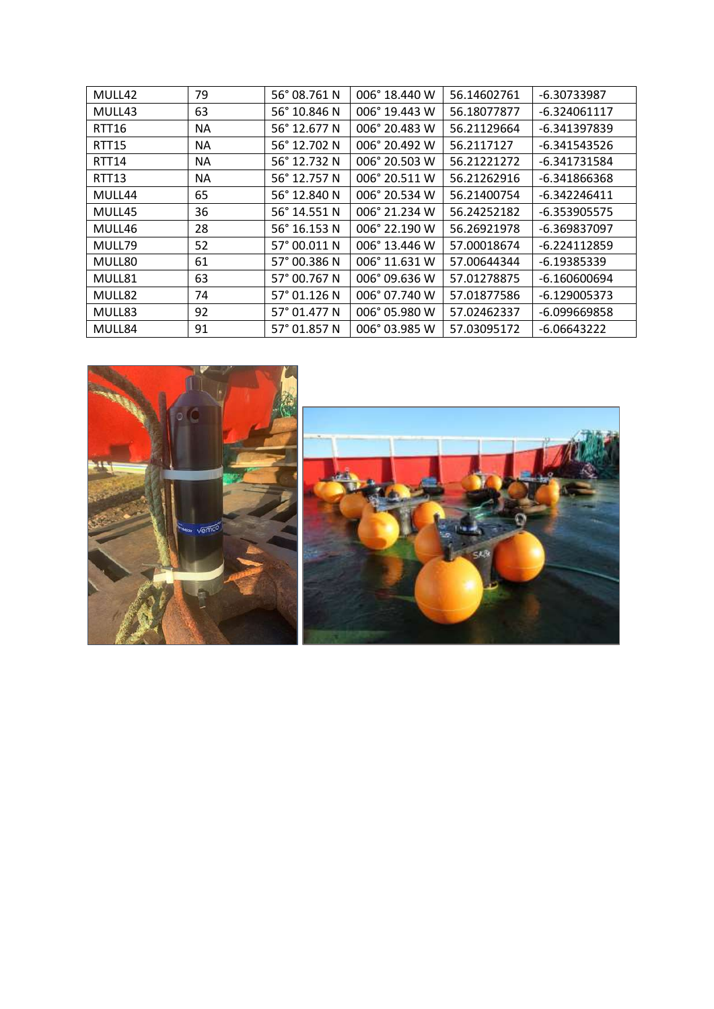| MULL42            | 79  | 56° 08.761 N | 006° 18.440 W | 56.14602761 | -6.30733987    |
|-------------------|-----|--------------|---------------|-------------|----------------|
| MULL43            | 63  | 56° 10.846 N | 006° 19.443 W | 56.18077877 | $-6.324061117$ |
| <b>RTT16</b>      | NA. | 56° 12.677 N | 006° 20.483 W | 56.21129664 | -6.341397839   |
| <b>RTT15</b>      | ΝA  | 56° 12.702 N | 006° 20.492 W | 56.2117127  | $-6.341543526$ |
| <b>RTT14</b>      | NA. | 56° 12.732 N | 006° 20.503 W | 56.21221272 | -6.341731584   |
| RTT <sub>13</sub> | NA. | 56° 12.757 N | 006° 20.511 W | 56.21262916 | -6.341866368   |
| MULL44            | 65  | 56° 12.840 N | 006° 20.534 W | 56.21400754 | $-6.342246411$ |
| MULL45            | 36  | 56° 14.551 N | 006° 21.234 W | 56.24252182 | $-6.353905575$ |
| MULL46            | 28  | 56° 16.153 N | 006° 22.190 W | 56.26921978 | -6.369837097   |
| MULL79            | 52  | 57° 00.011 N | 006° 13.446 W | 57.00018674 | -6.224112859   |
| MULL80            | 61  | 57° 00.386 N | 006° 11.631 W | 57.00644344 | $-6.19385339$  |
| MULL81            | 63  | 57° 00.767 N | 006° 09.636 W | 57.01278875 | $-6.160600694$ |
| MULL82            | 74  | 57° 01.126 N | 006° 07.740 W | 57.01877586 | $-6.129005373$ |
| MULL83            | 92  | 57° 01.477 N | 006° 05.980 W | 57.02462337 | -6.099669858   |
| MULL84            | 91  | 57° 01.857 N | 006° 03.985 W | 57.03095172 | $-6.06643222$  |